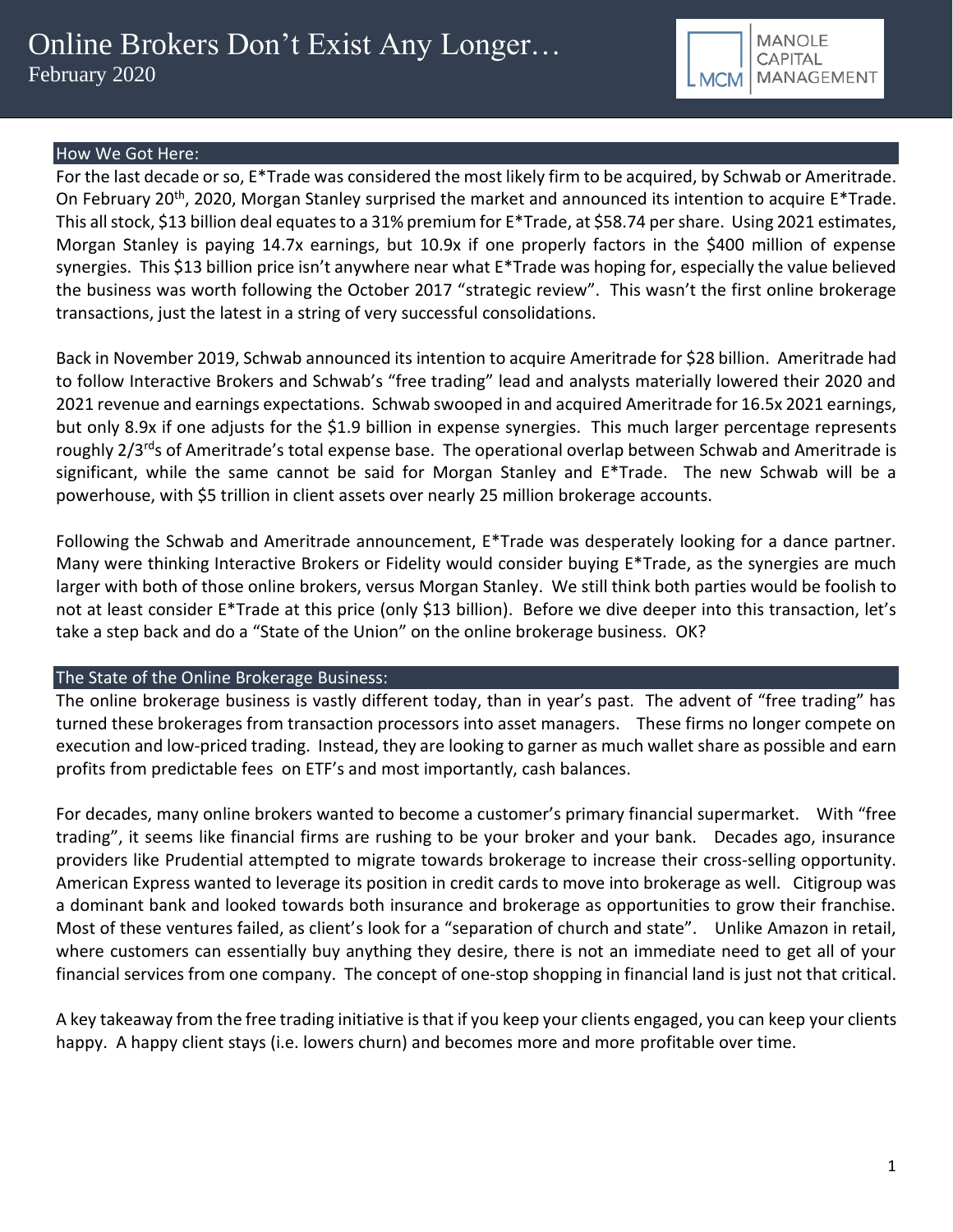

## How We Got Here:

For the last decade or so, E\*Trade was considered the most likely firm to be acquired, by Schwab or Ameritrade. On February 20<sup>th</sup>, 2020, Morgan Stanley surprised the market and announced its intention to acquire E<sup>\*</sup>Trade. This all stock, \$13 billion deal equates to a 31% premium for E\*Trade, at \$58.74 per share. Using 2021 estimates, Morgan Stanley is paying 14.7x earnings, but 10.9x if one properly factors in the \$400 million of expense synergies. This \$13 billion price isn't anywhere near what E\*Trade was hoping for, especially the value believed the business was worth following the October 2017 "strategic review". This wasn't the first online brokerage transactions, just the latest in a string of very successful consolidations.

Back in November 2019, Schwab announced its intention to acquire Ameritrade for \$28 billion. Ameritrade had to follow Interactive Brokers and Schwab's "free trading" lead and analysts materially lowered their 2020 and 2021 revenue and earnings expectations. Schwab swooped in and acquired Ameritrade for 16.5x 2021 earnings, but only 8.9x if one adjusts for the \$1.9 billion in expense synergies. This much larger percentage represents roughly 2/3<sup>rd</sup>s of Ameritrade's total expense base. The operational overlap between Schwab and Ameritrade is significant, while the same cannot be said for Morgan Stanley and E\*Trade. The new Schwab will be a powerhouse, with \$5 trillion in client assets over nearly 25 million brokerage accounts.

Following the Schwab and Ameritrade announcement, E\*Trade was desperately looking for a dance partner. Many were thinking Interactive Brokers or Fidelity would consider buying E\*Trade, as the synergies are much larger with both of those online brokers, versus Morgan Stanley. We still think both parties would be foolish to not at least consider E\*Trade at this price (only \$13 billion). Before we dive deeper into this transaction, let's take a step back and do a "State of the Union" on the online brokerage business. OK?

### The State of the Online Brokerage Business:

The online brokerage business is vastly different today, than in year's past. The advent of "free trading" has turned these brokerages from transaction processors into asset managers. These firms no longer compete on execution and low-priced trading. Instead, they are looking to garner as much wallet share as possible and earn profits from predictable fees on ETF's and most importantly, cash balances.

For decades, many online brokers wanted to become a customer's primary financial supermarket. With "free trading", it seems like financial firms are rushing to be your broker and your bank. Decades ago, insurance providers like Prudential attempted to migrate towards brokerage to increase their cross-selling opportunity. American Express wanted to leverage its position in credit cards to move into brokerage as well. Citigroup was a dominant bank and looked towards both insurance and brokerage as opportunities to grow their franchise. Most of these ventures failed, as client's look for a "separation of church and state". Unlike Amazon in retail, where customers can essentially buy anything they desire, there is not an immediate need to get all of your financial services from one company. The concept of one-stop shopping in financial land is just not that critical.

A key takeaway from the free trading initiative is that if you keep your clients engaged, you can keep your clients happy. A happy client stays (i.e. lowers churn) and becomes more and more profitable over time.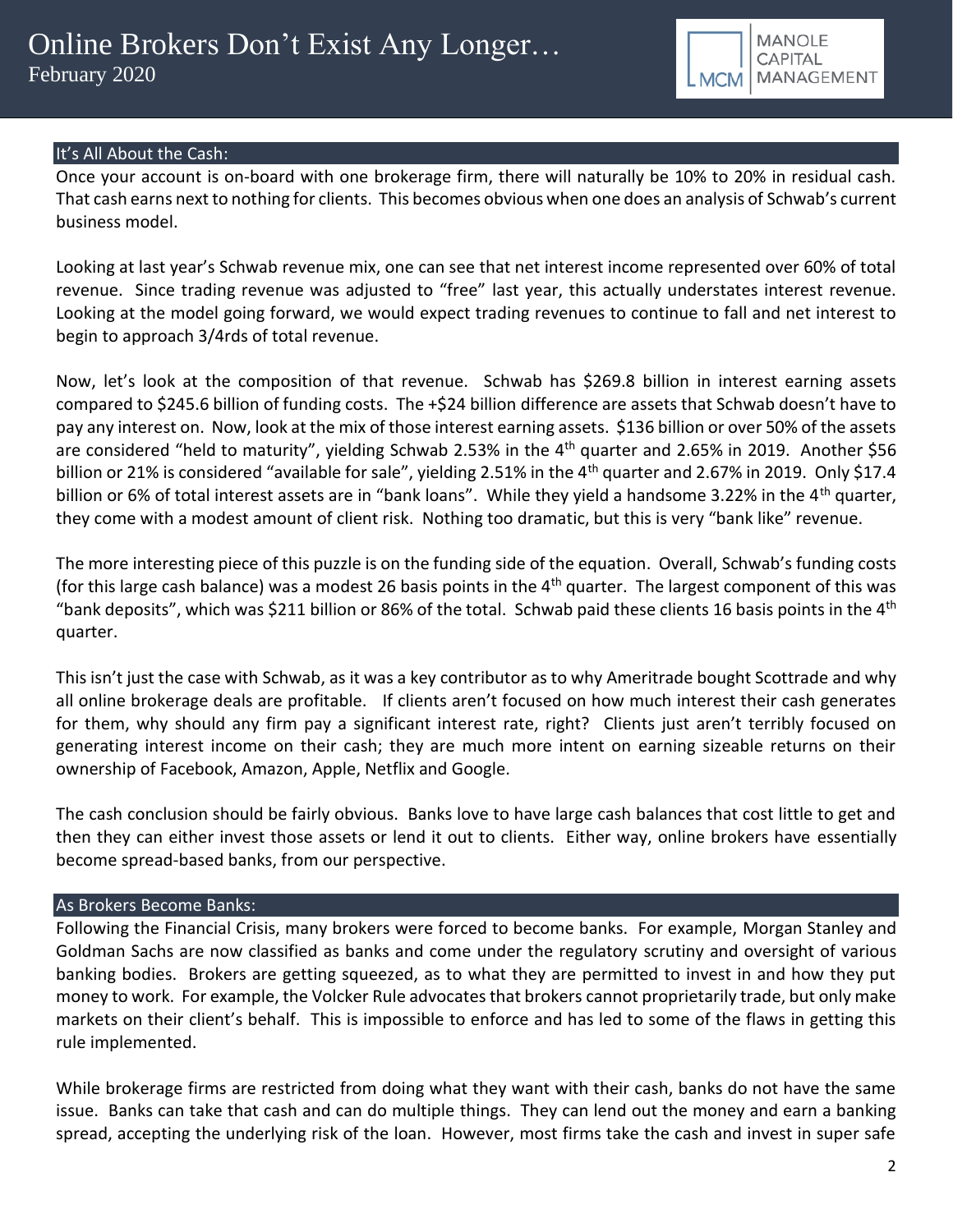

# It's All About the Cash:

Once your account is on-board with one brokerage firm, there will naturally be 10% to 20% in residual cash. That cash earns next to nothing for clients. This becomes obvious when one does an analysis of Schwab's current business model.

Looking at last year's Schwab revenue mix, one can see that net interest income represented over 60% of total revenue. Since trading revenue was adjusted to "free" last year, this actually understates interest revenue. Looking at the model going forward, we would expect trading revenues to continue to fall and net interest to begin to approach 3/4rds of total revenue.

Now, let's look at the composition of that revenue. Schwab has \$269.8 billion in interest earning assets compared to \$245.6 billion of funding costs. The +\$24 billion difference are assets that Schwab doesn't have to pay any interest on. Now, look at the mix of those interest earning assets. \$136 billion or over 50% of the assets are considered "held to maturity", yielding Schwab 2.53% in the 4<sup>th</sup> quarter and 2.65% in 2019. Another \$56 billion or 21% is considered "available for sale", yielding 2.51% in the 4<sup>th</sup> quarter and 2.67% in 2019. Only \$17.4 billion or 6% of total interest assets are in "bank loans". While they yield a handsome 3.22% in the 4<sup>th</sup> quarter, they come with a modest amount of client risk. Nothing too dramatic, but this is very "bank like" revenue.

The more interesting piece of this puzzle is on the funding side of the equation. Overall, Schwab's funding costs (for this large cash balance) was a modest 26 basis points in the  $4<sup>th</sup>$  quarter. The largest component of this was "bank deposits", which was \$211 billion or 86% of the total. Schwab paid these clients 16 basis points in the 4<sup>th</sup> quarter.

This isn't just the case with Schwab, as it was a key contributor as to why Ameritrade bought Scottrade and why all online brokerage deals are profitable. If clients aren't focused on how much interest their cash generates for them, why should any firm pay a significant interest rate, right? Clients just aren't terribly focused on generating interest income on their cash; they are much more intent on earning sizeable returns on their ownership of Facebook, Amazon, Apple, Netflix and Google.

The cash conclusion should be fairly obvious. Banks love to have large cash balances that cost little to get and then they can either invest those assets or lend it out to clients. Either way, online brokers have essentially become spread-based banks, from our perspective.

### As Brokers Become Banks:

Following the Financial Crisis, many brokers were forced to become banks. For example, Morgan Stanley and Goldman Sachs are now classified as banks and come under the regulatory scrutiny and oversight of various banking bodies. Brokers are getting squeezed, as to what they are permitted to invest in and how they put money to work. For example, the Volcker Rule advocates that brokers cannot proprietarily trade, but only make markets on their client's behalf. This is impossible to enforce and has led to some of the flaws in getting this rule implemented.

While brokerage firms are restricted from doing what they want with their cash, banks do not have the same issue. Banks can take that cash and can do multiple things. They can lend out the money and earn a banking spread, accepting the underlying risk of the loan. However, most firms take the cash and invest in super safe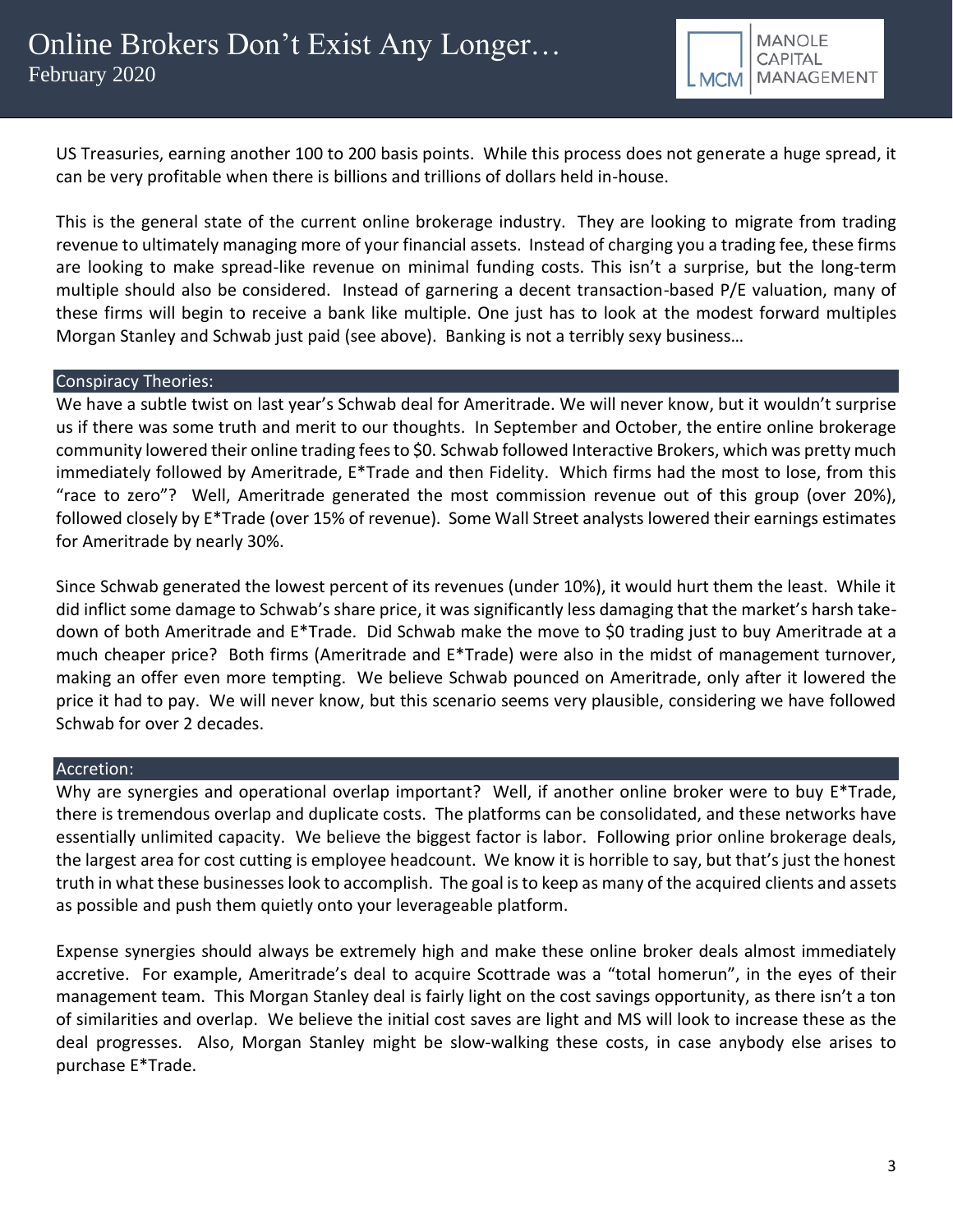

US Treasuries, earning another 100 to 200 basis points. While this process does not generate a huge spread, it can be very profitable when there is billions and trillions of dollars held in-house.

This is the general state of the current online brokerage industry. They are looking to migrate from trading revenue to ultimately managing more of your financial assets. Instead of charging you a trading fee, these firms are looking to make spread-like revenue on minimal funding costs. This isn't a surprise, but the long-term multiple should also be considered. Instead of garnering a decent transaction-based P/E valuation, many of these firms will begin to receive a bank like multiple. One just has to look at the modest forward multiples Morgan Stanley and Schwab just paid (see above). Banking is not a terribly sexy business…

### Conspiracy Theories:

We have a subtle twist on last year's Schwab deal for Ameritrade. We will never know, but it wouldn't surprise us if there was some truth and merit to our thoughts. In September and October, the entire online brokerage community lowered their online trading fees to \$0. Schwab followed Interactive Brokers, which was pretty much immediately followed by Ameritrade, E\*Trade and then Fidelity. Which firms had the most to lose, from this "race to zero"? Well, Ameritrade generated the most commission revenue out of this group (over 20%), followed closely by E\*Trade (over 15% of revenue). Some Wall Street analysts lowered their earnings estimates for Ameritrade by nearly 30%.

Since Schwab generated the lowest percent of its revenues (under 10%), it would hurt them the least. While it did inflict some damage to Schwab's share price, it was significantly less damaging that the market's harsh takedown of both Ameritrade and E\*Trade. Did Schwab make the move to \$0 trading just to buy Ameritrade at a much cheaper price? Both firms (Ameritrade and E\*Trade) were also in the midst of management turnover, making an offer even more tempting. We believe Schwab pounced on Ameritrade, only after it lowered the price it had to pay. We will never know, but this scenario seems very plausible, considering we have followed Schwab for over 2 decades.

### Accretion:

Why are synergies and operational overlap important? Well, if another online broker were to buy E\*Trade, there is tremendous overlap and duplicate costs. The platforms can be consolidated, and these networks have essentially unlimited capacity. We believe the biggest factor is labor. Following prior online brokerage deals, the largest area for cost cutting is employee headcount. We know it is horrible to say, but that's just the honest truth in what these businesses look to accomplish. The goal is to keep as many of the acquired clients and assets as possible and push them quietly onto your leverageable platform.

Expense synergies should always be extremely high and make these online broker deals almost immediately accretive. For example, Ameritrade's deal to acquire Scottrade was a "total homerun", in the eyes of their management team. This Morgan Stanley deal is fairly light on the cost savings opportunity, as there isn't a ton of similarities and overlap. We believe the initial cost saves are light and MS will look to increase these as the deal progresses. Also, Morgan Stanley might be slow-walking these costs, in case anybody else arises to purchase E\*Trade.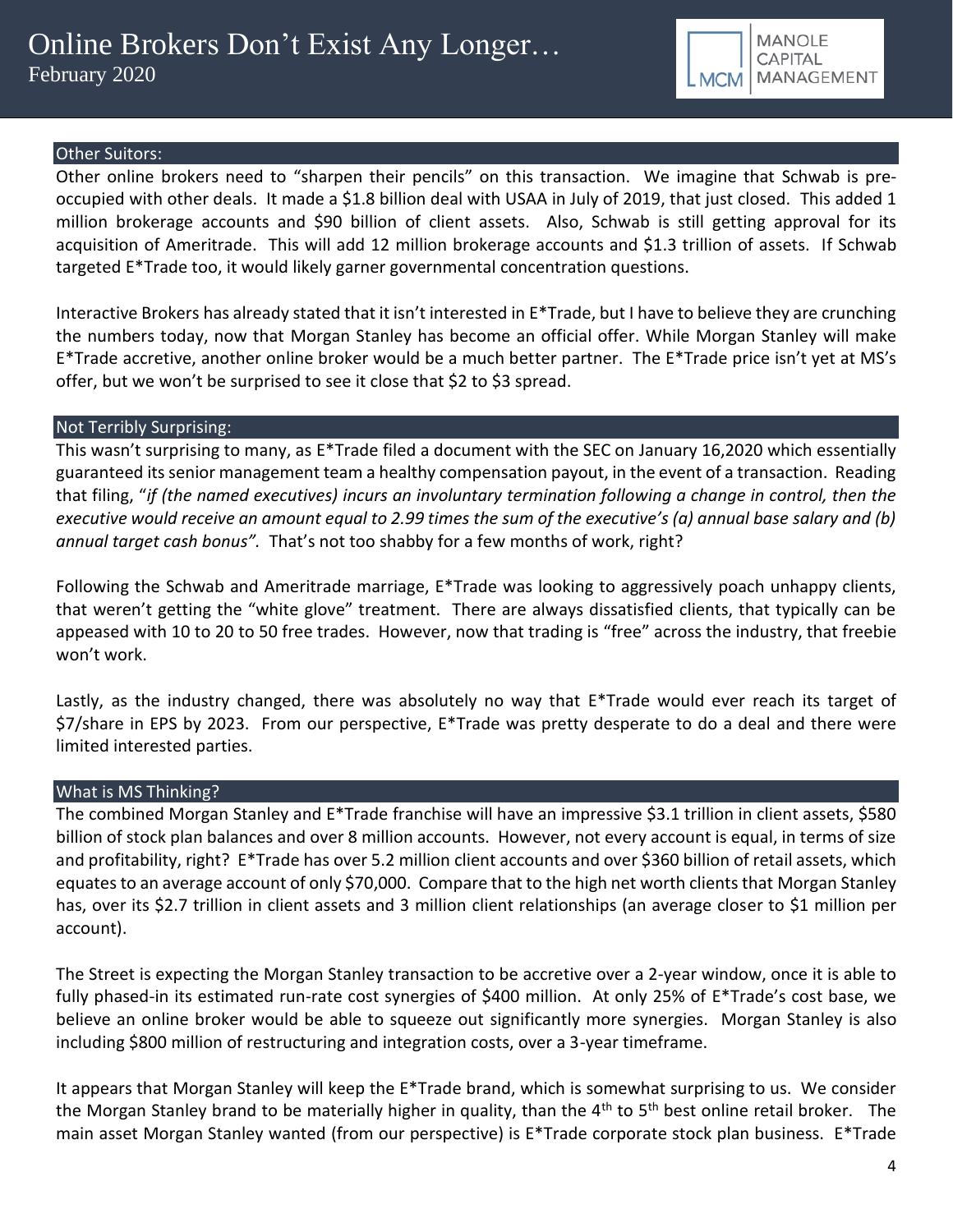

## Other Suitors:

Other online brokers need to "sharpen their pencils" on this transaction. We imagine that Schwab is preoccupied with other deals. It made a \$1.8 billion deal with USAA in July of 2019, that just closed. This added 1 million brokerage accounts and \$90 billion of client assets. Also, Schwab is still getting approval for its acquisition of Ameritrade. This will add 12 million brokerage accounts and \$1.3 trillion of assets. If Schwab targeted E\*Trade too, it would likely garner governmental concentration questions.

Interactive Brokers has already stated that it isn't interested in E\*Trade, but I have to believe they are crunching the numbers today, now that Morgan Stanley has become an official offer. While Morgan Stanley will make E\*Trade accretive, another online broker would be a much better partner. The E\*Trade price isn't yet at MS's offer, but we won't be surprised to see it close that \$2 to \$3 spread.

### Not Terribly Surprising:

This wasn't surprising to many, as E\*Trade filed a document with the SEC on January 16,2020 which essentially guaranteed its senior management team a healthy compensation payout, in the event of a transaction. Reading that filing, "*if (the named executives) incurs an involuntary termination following a change in control, then the executive would receive an amount equal to 2.99 times the sum of the executive's (a) annual base salary and (b) annual target cash bonus".* That's not too shabby for a few months of work, right?

Following the Schwab and Ameritrade marriage, E\*Trade was looking to aggressively poach unhappy clients, that weren't getting the "white glove" treatment. There are always dissatisfied clients, that typically can be appeased with 10 to 20 to 50 free trades. However, now that trading is "free" across the industry, that freebie won't work.

Lastly, as the industry changed, there was absolutely no way that E<sup>\*</sup>Trade would ever reach its target of \$7/share in EPS by 2023. From our perspective, E\*Trade was pretty desperate to do a deal and there were limited interested parties.

### What is MS Thinking?

The combined Morgan Stanley and E\*Trade franchise will have an impressive \$3.1 trillion in client assets, \$580 billion of stock plan balances and over 8 million accounts. However, not every account is equal, in terms of size and profitability, right? E\*Trade has over 5.2 million client accounts and over \$360 billion of retail assets, which equates to an average account of only \$70,000. Compare that to the high net worth clients that Morgan Stanley has, over its \$2.7 trillion in client assets and 3 million client relationships (an average closer to \$1 million per account).

The Street is expecting the Morgan Stanley transaction to be accretive over a 2-year window, once it is able to fully phased-in its estimated run-rate cost synergies of \$400 million. At only 25% of E\*Trade's cost base, we believe an online broker would be able to squeeze out significantly more synergies. Morgan Stanley is also including \$800 million of restructuring and integration costs, over a 3-year timeframe.

It appears that Morgan Stanley will keep the E\*Trade brand, which is somewhat surprising to us. We consider the Morgan Stanley brand to be materially higher in quality, than the  $4<sup>th</sup>$  to  $5<sup>th</sup>$  best online retail broker. The main asset Morgan Stanley wanted (from our perspective) is E\*Trade corporate stock plan business. E\*Trade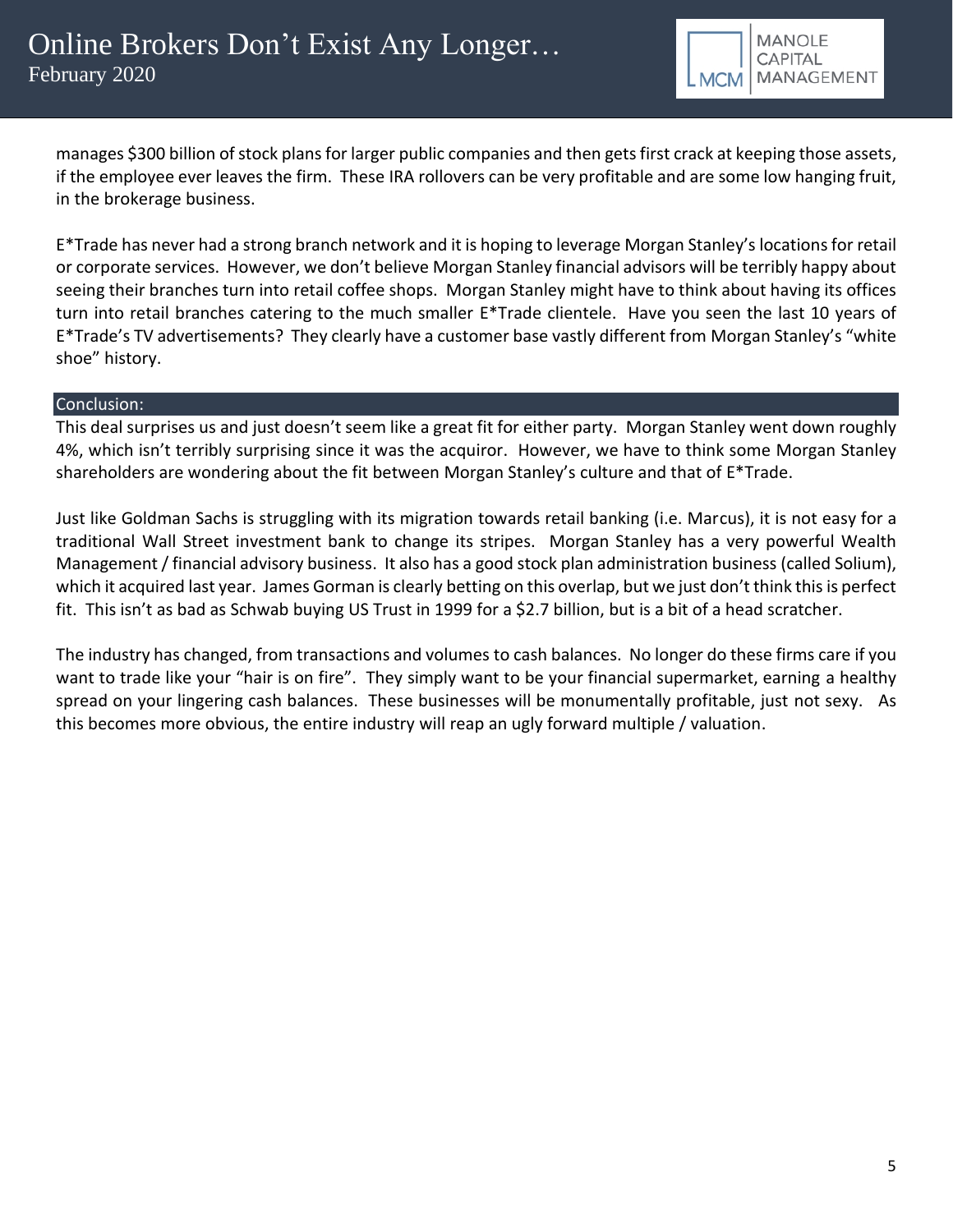

manages \$300 billion of stock plans for larger public companies and then gets first crack at keeping those assets, if the employee ever leaves the firm. These IRA rollovers can be very profitable and are some low hanging fruit, in the brokerage business.

E\*Trade has never had a strong branch network and it is hoping to leverage Morgan Stanley's locations for retail or corporate services. However, we don't believe Morgan Stanley financial advisors will be terribly happy about seeing their branches turn into retail coffee shops. Morgan Stanley might have to think about having its offices turn into retail branches catering to the much smaller E\*Trade clientele. Have you seen the last 10 years of E\*Trade's TV advertisements? They clearly have a customer base vastly different from Morgan Stanley's "white shoe" history.

### Conclusion:

This deal surprises us and just doesn't seem like a great fit for either party. Morgan Stanley went down roughly 4%, which isn't terribly surprising since it was the acquiror. However, we have to think some Morgan Stanley shareholders are wondering about the fit between Morgan Stanley's culture and that of E\*Trade.

Just like Goldman Sachs is struggling with its migration towards retail banking (i.e. Marcus), it is not easy for a traditional Wall Street investment bank to change its stripes. Morgan Stanley has a very powerful Wealth Management / financial advisory business. It also has a good stock plan administration business (called Solium), which it acquired last year. James Gorman is clearly betting on this overlap, but we just don't think this is perfect fit. This isn't as bad as Schwab buying US Trust in 1999 for a \$2.7 billion, but is a bit of a head scratcher.

The industry has changed, from transactions and volumes to cash balances. No longer do these firms care if you want to trade like your "hair is on fire". They simply want to be your financial supermarket, earning a healthy spread on your lingering cash balances. These businesses will be monumentally profitable, just not sexy. As this becomes more obvious, the entire industry will reap an ugly forward multiple / valuation.